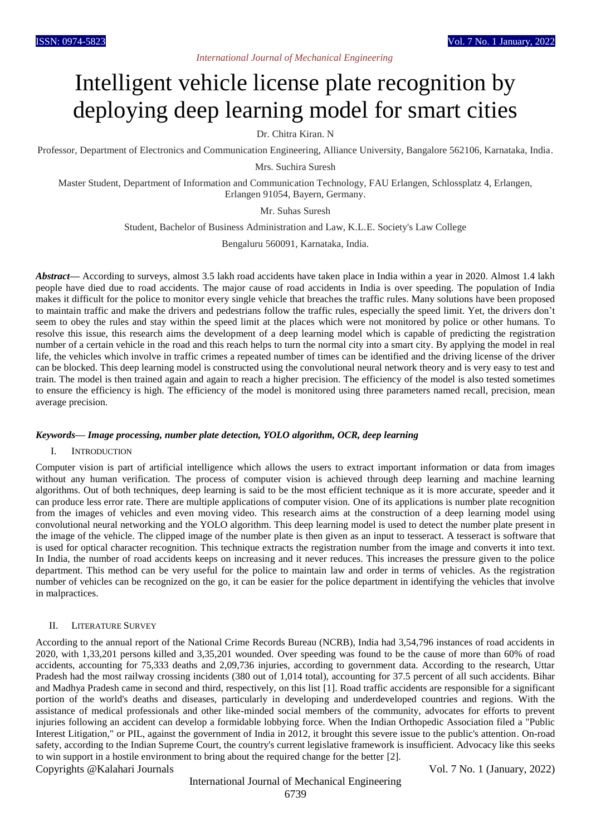# Intelligent vehicle license plate recognition by deploying deep learning model for smart cities

Dr. Chitra Kiran. N

Professor, Department of Electronics and Communication Engineering, Alliance University, Bangalore 562106, Karnataka, India.

Mrs. Suchira Suresh

Master Student, Department of Information and Communication Technology, FAU Erlangen, Schlossplatz 4, Erlangen, Erlangen 91054, Bayern, Germany.

Mr. Suhas Suresh

Student, Bachelor of Business Administration and Law, K.L.E. Society's Law College

Bengaluru 560091, Karnataka, India.

*Abstract***—** According to surveys, almost 3.5 lakh road accidents have taken place in India within a year in 2020. Almost 1.4 lakh people have died due to road accidents. The major cause of road accidents in India is over speeding. The population of India makes it difficult for the police to monitor every single vehicle that breaches the traffic rules. Many solutions have been proposed to maintain traffic and make the drivers and pedestrians follow the traffic rules, especially the speed limit. Yet, the drivers don't seem to obey the rules and stay within the speed limit at the places which were not monitored by police or other humans. To resolve this issue, this research aims the development of a deep learning model which is capable of predicting the registration number of a certain vehicle in the road and this reach helps to turn the normal city into a smart city. By applying the model in real life, the vehicles which involve in traffic crimes a repeated number of times can be identified and the driving license of the driver can be blocked. This deep learning model is constructed using the convolutional neural network theory and is very easy to test and train. The model is then trained again and again to reach a higher precision. The efficiency of the model is also tested sometimes to ensure the efficiency is high. The efficiency of the model is monitored using three parameters named recall, precision, mean average precision.

### *Keywords— Image processing, number plate detection, YOLO algorithm, OCR, deep learning*

### I. INTRODUCTION

Computer vision is part of artificial intelligence which allows the users to extract important information or data from images without any human verification. The process of computer vision is achieved through deep learning and machine learning algorithms. Out of both techniques, deep learning is said to be the most efficient technique as it is more accurate, speeder and it can produce less error rate. There are multiple applications of computer vision. One of its applications is number plate recognition from the images of vehicles and even moving video. This research aims at the construction of a deep learning model using convolutional neural networking and the YOLO algorithm. This deep learning model is used to detect the number plate present in the image of the vehicle. The clipped image of the number plate is then given as an input to tesseract. A tesseract is software that is used for optical character recognition. This technique extracts the registration number from the image and converts it into text. In India, the number of road accidents keeps on increasing and it never reduces. This increases the pressure given to the police department. This method can be very useful for the police to maintain law and order in terms of vehicles. As the registration number of vehicles can be recognized on the go, it can be easier for the police department in identifying the vehicles that involve in malpractices.

#### II. LITERATURE SURVEY

Copyrights @Kalahari Journals Vol. 7 No. 1 (January, 2022) According to the annual report of the National Crime Records Bureau (NCRB), India had 3,54,796 instances of road accidents in 2020, with 1,33,201 persons killed and 3,35,201 wounded. Over speeding was found to be the cause of more than 60% of road accidents, accounting for 75,333 deaths and 2,09,736 injuries, according to government data. According to the research, Uttar Pradesh had the most railway crossing incidents (380 out of 1,014 total), accounting for 37.5 percent of all such accidents. Bihar and Madhya Pradesh came in second and third, respectively, on this list [1]. Road traffic accidents are responsible for a significant portion of the world's deaths and diseases, particularly in developing and underdeveloped countries and regions. With the assistance of medical professionals and other like-minded social members of the community, advocates for efforts to prevent injuries following an accident can develop a formidable lobbying force. When the Indian Orthopedic Association filed a "Public Interest Litigation," or PIL, against the government of India in 2012, it brought this severe issue to the public's attention. On-road safety, according to the Indian Supreme Court, the country's current legislative framework is insufficient. Advocacy like this seeks to win support in a hostile environment to bring about the required change for the better [2].

International Journal of Mechanical Engineering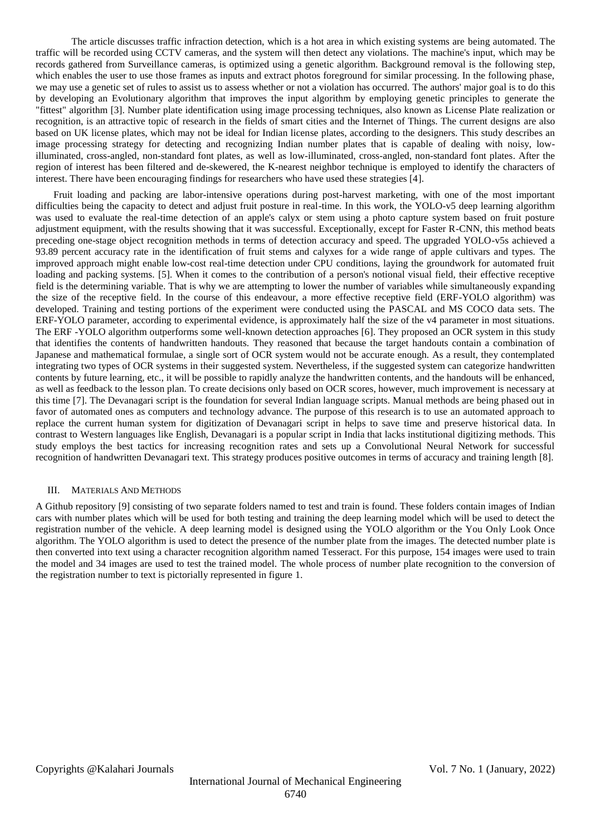The article discusses traffic infraction detection, which is a hot area in which existing systems are being automated. The traffic will be recorded using CCTV cameras, and the system will then detect any violations. The machine's input, which may be records gathered from Surveillance cameras, is optimized using a genetic algorithm. Background removal is the following step, which enables the user to use those frames as inputs and extract photos foreground for similar processing. In the following phase, we may use a genetic set of rules to assist us to assess whether or not a violation has occurred. The authors' major goal is to do this by developing an Evolutionary algorithm that improves the input algorithm by employing genetic principles to generate the "fittest" algorithm [3]. Number plate identification using image processing techniques, also known as License Plate realization or recognition, is an attractive topic of research in the fields of smart cities and the Internet of Things. The current designs are also based on UK license plates, which may not be ideal for Indian license plates, according to the designers. This study describes an image processing strategy for detecting and recognizing Indian number plates that is capable of dealing with noisy, lowilluminated, cross-angled, non-standard font plates, as well as low-illuminated, cross-angled, non-standard font plates. After the region of interest has been filtered and de-skewered, the K-nearest neighbor technique is employed to identify the characters of interest. There have been encouraging findings for researchers who have used these strategies [4].

Fruit loading and packing are labor-intensive operations during post-harvest marketing, with one of the most important difficulties being the capacity to detect and adjust fruit posture in real-time. In this work, the YOLO-v5 deep learning algorithm was used to evaluate the real-time detection of an apple's calyx or stem using a photo capture system based on fruit posture adjustment equipment, with the results showing that it was successful. Exceptionally, except for Faster R-CNN, this method beats preceding one-stage object recognition methods in terms of detection accuracy and speed. The upgraded YOLO-v5s achieved a 93.89 percent accuracy rate in the identification of fruit stems and calyxes for a wide range of apple cultivars and types. The improved approach might enable low-cost real-time detection under CPU conditions, laying the groundwork for automated fruit loading and packing systems. [5]. When it comes to the contribution of a person's notional visual field, their effective receptive field is the determining variable. That is why we are attempting to lower the number of variables while simultaneously expanding the size of the receptive field. In the course of this endeavour, a more effective receptive field (ERF-YOLO algorithm) was developed. Training and testing portions of the experiment were conducted using the PASCAL and MS COCO data sets. The ERF-YOLO parameter, according to experimental evidence, is approximately half the size of the v4 parameter in most situations. The ERF -YOLO algorithm outperforms some well-known detection approaches [6]. They proposed an OCR system in this study that identifies the contents of handwritten handouts. They reasoned that because the target handouts contain a combination of Japanese and mathematical formulae, a single sort of OCR system would not be accurate enough. As a result, they contemplated integrating two types of OCR systems in their suggested system. Nevertheless, if the suggested system can categorize handwritten contents by future learning, etc., it will be possible to rapidly analyze the handwritten contents, and the handouts will be enhanced, as well as feedback to the lesson plan. To create decisions only based on OCR scores, however, much improvement is necessary at this time [7]. The Devanagari script is the foundation for several Indian language scripts. Manual methods are being phased out in favor of automated ones as computers and technology advance. The purpose of this research is to use an automated approach to replace the current human system for digitization of Devanagari script in helps to save time and preserve historical data. In contrast to Western languages like English, Devanagari is a popular script in India that lacks institutional digitizing methods. This study employs the best tactics for increasing recognition rates and sets up a Convolutional Neural Network for successful recognition of handwritten Devanagari text. This strategy produces positive outcomes in terms of accuracy and training length [8].

### III. MATERIALS AND METHODS

A Github repository [9] consisting of two separate folders named to test and train is found. These folders contain images of Indian cars with number plates which will be used for both testing and training the deep learning model which will be used to detect the registration number of the vehicle. A deep learning model is designed using the YOLO algorithm or the You Only Look Once algorithm. The YOLO algorithm is used to detect the presence of the number plate from the images. The detected number plate is then converted into text using a character recognition algorithm named Tesseract. For this purpose, 154 images were used to train the model and 34 images are used to test the trained model. The whole process of number plate recognition to the conversion of the registration number to text is pictorially represented in figure 1.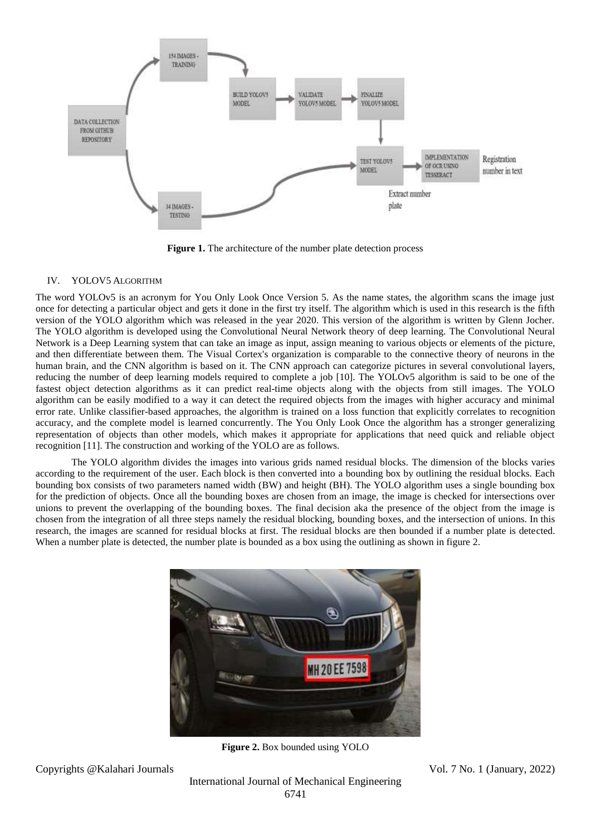

**Figure 1.** The architecture of the number plate detection process

### IV. YOLOV5 ALGORITHM

The word YOLOv5 is an acronym for You Only Look Once Version 5. As the name states, the algorithm scans the image just once for detecting a particular object and gets it done in the first try itself. The algorithm which is used in this research is the fifth version of the YOLO algorithm which was released in the year 2020. This version of the algorithm is written by Glenn Jocher. The YOLO algorithm is developed using the Convolutional Neural Network theory of deep learning. The Convolutional Neural Network is a Deep Learning system that can take an image as input, assign meaning to various objects or elements of the picture, and then differentiate between them. The Visual Cortex's organization is comparable to the connective theory of neurons in the human brain, and the CNN algorithm is based on it. The CNN approach can categorize pictures in several convolutional layers, reducing the number of deep learning models required to complete a job [10]. The YOLOv5 algorithm is said to be one of the fastest object detection algorithms as it can predict real-time objects along with the objects from still images. The YOLO algorithm can be easily modified to a way it can detect the required objects from the images with higher accuracy and minimal error rate. Unlike classifier-based approaches, the algorithm is trained on a loss function that explicitly correlates to recognition accuracy, and the complete model is learned concurrently. The You Only Look Once the algorithm has a stronger generalizing representation of objects than other models, which makes it appropriate for applications that need quick and reliable object recognition [11]. The construction and working of the YOLO are as follows.

The YOLO algorithm divides the images into various grids named residual blocks. The dimension of the blocks varies according to the requirement of the user. Each block is then converted into a bounding box by outlining the residual blocks. Each bounding box consists of two parameters named width (BW) and height (BH). The YOLO algorithm uses a single bounding box for the prediction of objects. Once all the bounding boxes are chosen from an image, the image is checked for intersections over unions to prevent the overlapping of the bounding boxes. The final decision aka the presence of the object from the image is chosen from the integration of all three steps namely the residual blocking, bounding boxes, and the intersection of unions. In this research, the images are scanned for residual blocks at first. The residual blocks are then bounded if a number plate is detected. When a number plate is detected, the number plate is bounded as a box using the outlining as shown in figure 2.



**Figure 2.** Box bounded using YOLO

Copyrights @Kalahari Journals Vol. 7 No. 1 (January, 2022)

International Journal of Mechanical Engineering 6741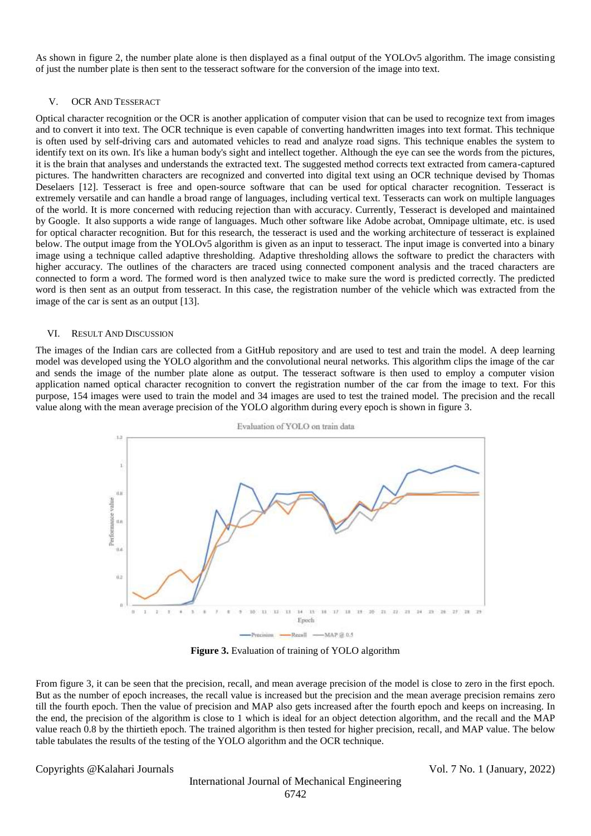As shown in figure 2, the number plate alone is then displayed as a final output of the YOLOv5 algorithm. The image consisting of just the number plate is then sent to the tesseract software for the conversion of the image into text.

## V. OCR AND TESSERACT

Optical character recognition or the OCR is another application of computer vision that can be used to recognize text from images and to convert it into text. The OCR technique is even capable of converting handwritten images into text format. This technique is often used by self-driving cars and automated vehicles to read and analyze road signs. This technique enables the system to identify text on its own. It's like a human body's sight and intellect together. Although the eye can see the words from the pictures, it is the brain that analyses and understands the extracted text. The suggested method corrects text extracted from camera-captured pictures. The handwritten characters are recognized and converted into digital text using an OCR technique devised by Thomas Deselaers [12]. Tesseract is free and open-source software that can be used for optical character recognition. Tesseract is extremely versatile and can handle a broad range of languages, including vertical text. Tesseracts can work on multiple languages of the world. It is more concerned with reducing rejection than with accuracy. Currently, Tesseract is developed and maintained by Google. It also supports a wide range of languages. Much other software like Adobe acrobat, Omnipage ultimate, etc. is used for optical character recognition. But for this research, the tesseract is used and the working architecture of tesseract is explained below. The output image from the YOLOv5 algorithm is given as an input to tesseract. The input image is converted into a binary image using a technique called adaptive thresholding. Adaptive thresholding allows the software to predict the characters with higher accuracy. The outlines of the characters are traced using connected component analysis and the traced characters are connected to form a word. The formed word is then analyzed twice to make sure the word is predicted correctly. The predicted word is then sent as an output from tesseract. In this case, the registration number of the vehicle which was extracted from the image of the car is sent as an output [13].

### VI. RESULT AND DISCUSSION

The images of the Indian cars are collected from a GitHub repository and are used to test and train the model. A deep learning model was developed using the YOLO algorithm and the convolutional neural networks. This algorithm clips the image of the car and sends the image of the number plate alone as output. The tesseract software is then used to employ a computer vision application named optical character recognition to convert the registration number of the car from the image to text. For this purpose, 154 images were used to train the model and 34 images are used to test the trained model. The precision and the recall value along with the mean average precision of the YOLO algorithm during every epoch is shown in figure 3.



Evaluation of YOLO on train data

**Figure 3.** Evaluation of training of YOLO algorithm

From figure 3, it can be seen that the precision, recall, and mean average precision of the model is close to zero in the first epoch. But as the number of epoch increases, the recall value is increased but the precision and the mean average precision remains zero till the fourth epoch. Then the value of precision and MAP also gets increased after the fourth epoch and keeps on increasing. In the end, the precision of the algorithm is close to 1 which is ideal for an object detection algorithm, and the recall and the MAP value reach 0.8 by the thirtieth epoch. The trained algorithm is then tested for higher precision, recall, and MAP value. The below table tabulates the results of the testing of the YOLO algorithm and the OCR technique.

Copyrights @Kalahari Journals Vol. 7 No. 1 (January, 2022)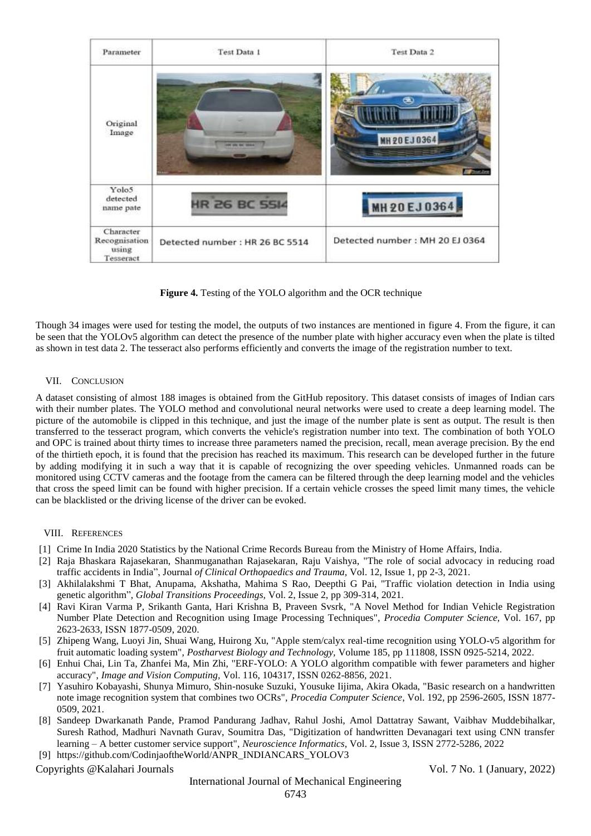

**Figure 4.** Testing of the YOLO algorithm and the OCR technique

Though 34 images were used for testing the model, the outputs of two instances are mentioned in figure 4. From the figure, it can be seen that the YOLOv5 algorithm can detect the presence of the number plate with higher accuracy even when the plate is tilted as shown in test data 2. The tesseract also performs efficiently and converts the image of the registration number to text.

## VII. CONCLUSION

A dataset consisting of almost 188 images is obtained from the GitHub repository. This dataset consists of images of Indian cars with their number plates. The YOLO method and convolutional neural networks were used to create a deep learning model. The picture of the automobile is clipped in this technique, and just the image of the number plate is sent as output. The result is then transferred to the tesseract program, which converts the vehicle's registration number into text. The combination of both YOLO and OPC is trained about thirty times to increase three parameters named the precision, recall, mean average precision. By the end of the thirtieth epoch, it is found that the precision has reached its maximum. This research can be developed further in the future by adding modifying it in such a way that it is capable of recognizing the over speeding vehicles. Unmanned roads can be monitored using CCTV cameras and the footage from the camera can be filtered through the deep learning model and the vehicles that cross the speed limit can be found with higher precision. If a certain vehicle crosses the speed limit many times, the vehicle can be blacklisted or the driving license of the driver can be evoked.

### VIII. REFERENCES

- [1] Crime In India 2020 Statistics by the National Crime Records Bureau from the Ministry of Home Affairs, India.
- [2] Raja Bhaskara Rajasekaran, Shanmuganathan Rajasekaran, Raju Vaishya, "The role of social advocacy in reducing road traffic accidents in India", Journal *of Clinical Orthopaedics and Trauma,* Vol. 12, Issue 1, pp 2-3, 2021.
- [3] Akhilalakshmi T Bhat, Anupama, Akshatha, Mahima S Rao, Deepthi G Pai, "Traffic violation detection in India using genetic algorithm", *Global Transitions Proceedings,* Vol. 2, Issue 2, pp 309-314, 2021.
- [4] Ravi Kiran Varma P, Srikanth Ganta, Hari Krishna B, Praveen Svsrk, "A Novel Method for Indian Vehicle Registration Number Plate Detection and Recognition using Image Processing Techniques", *Procedia Computer Science,* Vol. 167, pp 2623-2633, ISSN 1877-0509, 2020.
- [5] Zhipeng Wang, Luoyi Jin, Shuai Wang, Huirong Xu, "Apple stem/calyx real-time recognition using YOLO-v5 algorithm for fruit automatic loading system", *Postharvest Biology and Technology,* Volume 185, pp 111808, ISSN 0925-5214, 2022.
- [6] Enhui Chai, Lin Ta, Zhanfei Ma, Min Zhi, "ERF-YOLO: A YOLO algorithm compatible with fewer parameters and higher accuracy", *Image and Vision Computing,* Vol. 116, 104317, ISSN 0262-8856, 2021.
- [7] Yasuhiro Kobayashi, Shunya Mimuro, Shin-nosuke Suzuki, Yousuke Iijima, Akira Okada, "Basic research on a handwritten note image recognition system that combines two OCRs", *Procedia Computer Science*, Vol. 192, pp 2596-2605, ISSN 1877- 0509, 2021.
- [8] Sandeep Dwarkanath Pande, Pramod Pandurang Jadhav, Rahul Joshi, Amol Dattatray Sawant, Vaibhav Muddebihalkar, Suresh Rathod, Madhuri Navnath Gurav, Soumitra Das, "Digitization of handwritten Devanagari text using CNN transfer learning – A better customer service support", *Neuroscience Informatics*, Vol. 2, Issue 3, ISSN 2772-5286, 2022
- [9] [https://github.com/CodinjaoftheWorld/ANPR\\_INDIANCARS\\_YOLOV3](https://github.com/CodinjaoftheWorld/ANPR_INDIANCARS_YOLOV3)
- Copyrights @Kalahari Journals Vol. 7 No. 1 (January, 2022)